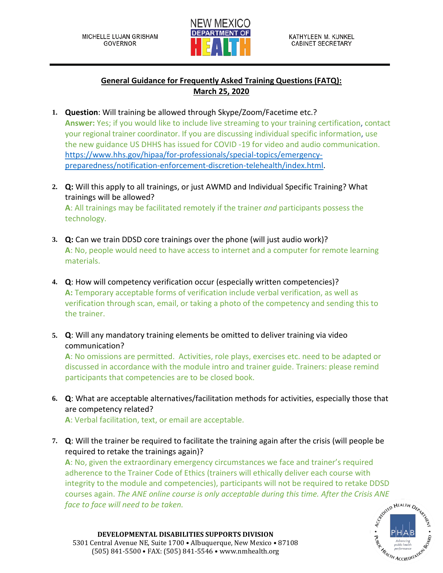

## **General Guidance for Frequently Asked Training Questions (FATQ): March 25, 2020**

- **1. Question**: Will training be allowed through Skype/Zoom/Facetime etc.? **Answer:** Yes; if you would like to include live streaming to your training certification, contact your regional trainer coordinator. If you are discussing individual specific information, use the new guidance US DHHS has issued for COVID -19 for video and audio communication. [https://www.hhs.gov/hipaa/for-professionals/special-topics/emergency](https://www.hhs.gov/hipaa/for-professionals/special-topics/emergency-preparedness/notification-enforcement-discretion-telehealth/index.html)[preparedness/notification-enforcement-discretion-telehealth/index.html.](https://www.hhs.gov/hipaa/for-professionals/special-topics/emergency-preparedness/notification-enforcement-discretion-telehealth/index.html)
- **2. Q:** Will this apply to all trainings, or just AWMD and Individual Specific Training? What trainings will be allowed? **A**: All trainings may be facilitated remotely if the trainer *and* participants possess the technology.
- **3. Q:** Can we train DDSD core trainings over the phone (will just audio work)? **A**: No, people would need to have access to internet and a computer for remote learning materials.
- **4. Q**: How will competency verification occur (especially written competencies)? **A:** Temporary acceptable forms of verification include verbal verification, as well as verification through scan, email, or taking a photo of the competency and sending this to the trainer.
- **5. Q**: Will any mandatory training elements be omitted to deliver training via video communication?

**A**: No omissions are permitted. Activities, role plays, exercises etc. need to be adapted or discussed in accordance with the module intro and trainer guide. Trainers: please remind participants that competencies are to be closed book.

**6. Q**: What are acceptable alternatives/facilitation methods for activities, especially those that are competency related?

**A**: Verbal facilitation, text, or email are acceptable.

**7. Q**: Will the trainer be required to facilitate the training again after the crisis (will people be required to retake the trainings again)?

**A**: No, given the extraordinary emergency circumstances we face and trainer's required adherence to the Trainer Code of Ethics (trainers will ethically deliver each course with integrity to the module and competencies), participants will not be required to retake DDSD courses again. *The ANE online course is only acceptable during this time. After the Crisis ANE face to face will need to be taken.*



**DEVELOPMENTAL DISABILITIES SUPPORTS DIVISION** 5301 Central Avenue NE, Suite 1700 • Albuquerque, New Mexico • 87108 (505) 841-5500 • FAX: (505) 841-5546 • www.nmhealth.org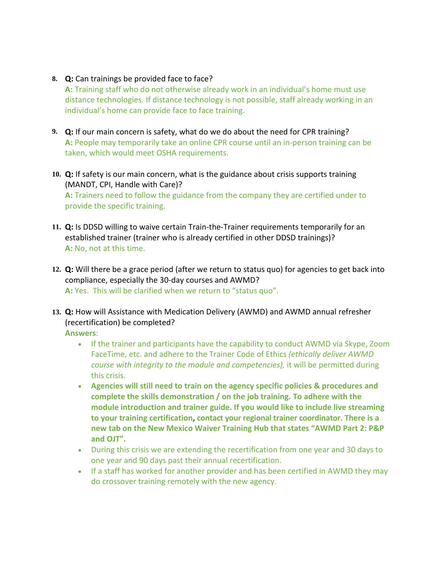## **8. Q:** Can trainings be provided face to face?

**A:** Training staff who do not otherwise already work in an individual's home must use distance technologies. If distance technology is not possible, staff already working in an individual's home can provide face to face training.

- **9. Q:** If our main concern is safety, what do we do about the need for CPR training? **A:** People may temporarily take an online CPR course until an in-person training can be taken, which would meet OSHA requirements.
- **10. Q:** If safety is our main concern, what is the guidance about crisis supports training (MANDT, CPI, Handle with Care)? **A:** Trainers need to follow the guidance from the company they are certified under to provide the specific training.
- **11. Q:** Is DDSD willing to waive certain Train-the-Trainer requirements temporarily for an established trainer (trainer who is already certified in other DDSD trainings)? **A:** No, not at this time.
- **12. Q:** Will there be a grace period (after we return to status quo) for agencies to get back into compliance, especially the 30-day courses and AWMD? **A:** Yes. This will be clarified when we return to "status quo".
- **13. Q:** How will Assistance with Medication Delivery (AWMD) and AWMD annual refresher (recertification) be completed?

**Answers**:

- If the trainer and participants have the capability to conduct AWMD via Skype, Zoom FaceTime, etc. and adhere to the Trainer Code of Ethics *(ethically deliver AWMD course with integrity to the module and competencies),* it will be permitted during this crisis.
- **Agencies will still need to train on the agency specific policies & procedures and complete the skills demonstration / on the job training. To adhere with the module introduction and trainer guide. If you would like to include live streaming to your training certification, contact your regional trainer coordinator. There is a new tab on the New Mexico Waiver Training Hub that states "AWMD Part 2: P&P and OJT".**
- During this crisis we are extending the recertification from one year and 30 days to one year and 90 days past their annual recertification.
- If a staff has worked for another provider and has been certified in AWMD they may do crossover training remotely with the new agency.